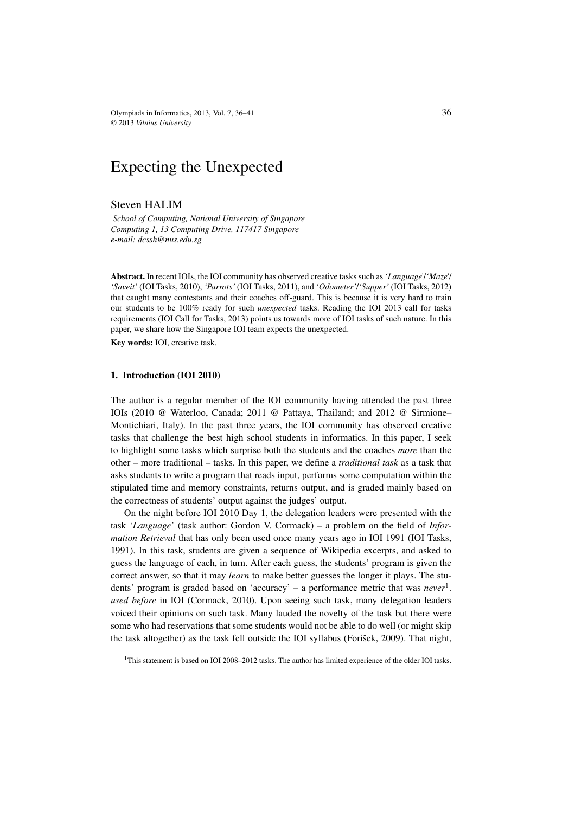Olympiads in Informatics, 2013, Vol. 7, 36–41  $36$ © 2013 *Vilnius University*

# Expecting the Unexpected

## Steven HALIM

*School of Computing, National University of Singapore Computing 1, 13 Computing Drive, 117417 Singapore e-mail: dcssh@nus.edu.sg*

**Abstract.** In recent IOIs, the IOI community has observed creative tasks such as*'Language'*/*'Maze'*/ *'Saveit'* (IOI Tasks, 2010), *'Parrots'* (IOI Tasks, 2011), and *'Odometer'*/*'Supper'* (IOI Tasks, 2012) that caught many contestants and their coaches off-guard. This is because it is very hard to train our students to be 100% ready for such *unexpected* tasks. Reading the IOI 2013 call for tasks requirements (IOI Call for Tasks, 2013) points us towards more of IOI tasks of such nature. In this paper, we share how the Singapore IOI team expects the unexpected.

**Key words:** IOI, creative task.

## **1. Introduction (IOI 2010)**

The author is a regular member of the IOI community having attended the past three IOIs (2010 @ Waterloo, Canada; 2011 @ Pattaya, Thailand; and 2012 @ Sirmione– Montichiari, Italy). In the past three years, the IOI community has observed creative tasks that challenge the best high school students in informatics. In this paper, I seek to highlight some tasks which surprise both the students and the coaches *more* than the other – more traditional – tasks. In this paper, we define a *traditional task* as a task that asks students to write a program that reads input, performs some computation within the stipulated time and memory constraints, returns output, and is graded mainly based on the correctness of students' output against the judges' output.

On the night before IOI 2010 Day 1, the delegation leaders were presented with the task '*Language*' (task author: Gordon V. Cormack) – a problem on the field of *Information Retrieval* that has only been used once many years ago in IOI 1991 (IOI Tasks, 1991). In this task, students are given a sequence of Wikipedia excerpts, and asked to guess the language of each, in turn. After each guess, the students' program is given the correct answer, so that it may *learn* to make better guesses the longer it plays. The students' program is graded based on 'accuracy' – a performance metric that was *never*1. *used before* in IOI (Cormack, 2010). Upon seeing such task, many delegation leaders voiced their opinions on such task. Many lauded the novelty of the task but there were some who had reservations that some students would not be able to do well (or might skip the task altogether) as the task fell outside the IOI syllabus (Forišek, 2009). That night,

<sup>&</sup>lt;sup>1</sup>This statement is based on IOI 2008–2012 tasks. The author has limited experience of the older IOI tasks.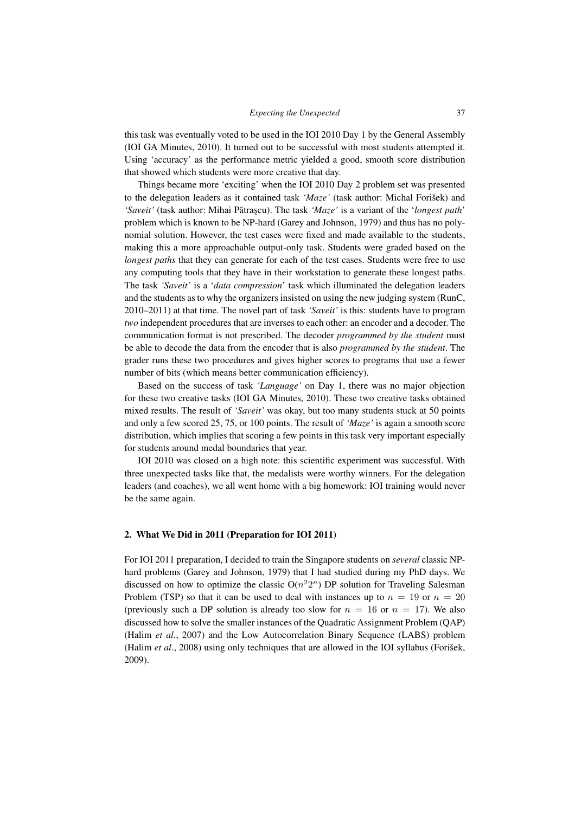this task was eventually voted to be used in the IOI 2010 Day 1 by the General Assembly (IOI GA Minutes, 2010). It turned out to be successful with most students attempted it. Using 'accuracy' as the performance metric yielded a good, smooth score distribution that showed which students were more creative that day.

Things became more 'exciting' when the IOI 2010 Day 2 problem set was presented to the delegation leaders as it contained task *'Maze'* (task author: Michal Forišek) and '*Saveit'* (task author: Mihai Pătrașcu). The task '*Maze'* is a variant of the '*longest path'* problem which is known to be NP-hard (Garey and Johnson, 1979) and thus has no polynomial solution. However, the test cases were fixed and made available to the students, making this a more approachable output-only task. Students were graded based on the *longest paths* that they can generate for each of the test cases. Students were free to use any computing tools that they have in their workstation to generate these longest paths. The task *'Saveit'* is a '*data compression*' task which illuminated the delegation leaders and the students as to why the organizers insisted on using the new judging system (RunC, 2010–2011) at that time. The novel part of task *'Saveit'* is this: students have to program *two* independent procedures that are inverses to each other: an encoder and a decoder. The communication format is not prescribed. The decoder *programmed by the student* must be able to decode the data from the encoder that is also *programmed by the student*. The grader runs these two procedures and gives higher scores to programs that use a fewer number of bits (which means better communication efficiency).

Based on the success of task *'Language'* on Day 1, there was no major objection for these two creative tasks (IOI GA Minutes, 2010). These two creative tasks obtained mixed results. The result of *'Saveit'* was okay, but too many students stuck at 50 points and only a few scored 25, 75, or 100 points. The result of *'Maze'* is again a smooth score distribution, which implies that scoring a few points in this task very important especially for students around medal boundaries that year.

IOI 2010 was closed on a high note: this scientific experiment was successful. With three unexpected tasks like that, the medalists were worthy winners. For the delegation leaders (and coaches), we all went home with a big homework: IOI training would never be the same again.

## **2. What We Did in 2011 (Preparation for IOI 2011)**

For IOI 2011 preparation, I decided to train the Singapore students on *several* classic NPhard problems (Garey and Johnson, 1979) that I had studied during my PhD days. We discussed on how to optimize the classic  $O(n^22^n)$  DP solution for Traveling Salesman Problem (TSP) so that it can be used to deal with instances up to  $n = 19$  or  $n = 20$ (previously such a DP solution is already too slow for  $n = 16$  or  $n = 17$ ). We also discussed how to solve the smaller instances of the Quadratic Assignment Problem (QAP) (Halim *et al.*, 2007) and the Low Autocorrelation Binary Sequence (LABS) problem (Halim *et al*., 2008) using only techniques that are allowed in the IOI syllabus (Forišek, 2009).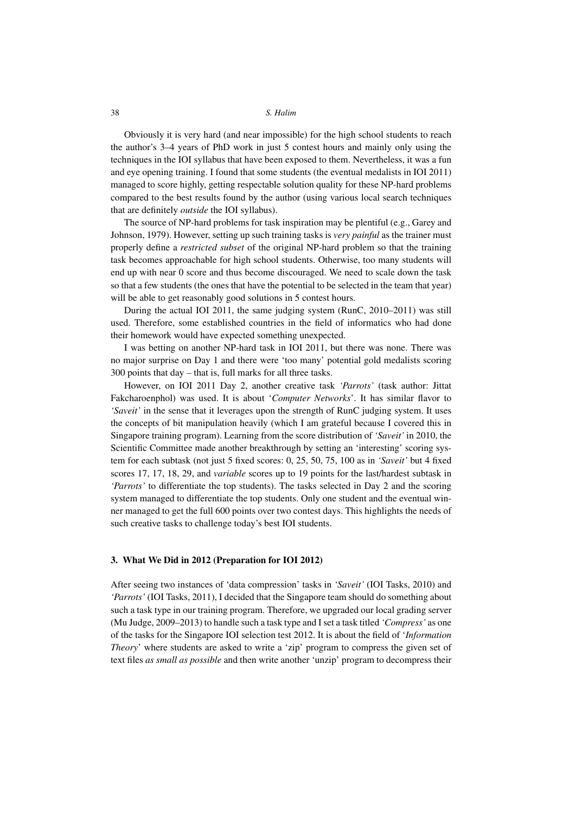## 38 *S. Halim*

Obviously it is very hard (and near impossible) for the high school students to reach the author's 3–4 years of PhD work in just 5 contest hours and mainly only using the techniques in the IOI syllabus that have been exposed to them. Nevertheless, it was a fun and eye opening training. I found that some students (the eventual medalists in IOI 2011) managed to score highly, getting respectable solution quality for these NP-hard problems compared to the best results found by the author (using various local search techniques that are definitely *outside* the IOI syllabus).

The source of NP-hard problems for task inspiration may be plentiful (e.g., Garey and Johnson, 1979). However, setting up such training tasks is *very painful* as the trainer must properly define a *restricted subset* of the original NP-hard problem so that the training task becomes approachable for high school students. Otherwise, too many students will end up with near 0 score and thus become discouraged. We need to scale down the task so that a few students (the ones that have the potential to be selected in the team that year) will be able to get reasonably good solutions in 5 contest hours.

During the actual IOI 2011, the same judging system (RunC, 2010–2011) was still used. Therefore, some established countries in the field of informatics who had done their homework would have expected something unexpected.

I was betting on another NP-hard task in IOI 2011, but there was none. There was no major surprise on Day 1 and there were 'too many' potential gold medalists scoring 300 points that day – that is, full marks for all three tasks.

However, on IOI 2011 Day 2, another creative task *'Parrots'* (task author: Jittat Fakcharoenphol) was used. It is about '*Computer Networks*'. It has similar flavor to *'Saveit'* in the sense that it leverages upon the strength of RunC judging system. It uses the concepts of bit manipulation heavily (which I am grateful because I covered this in Singapore training program). Learning from the score distribution of *'Saveit'* in 2010, the Scientific Committee made another breakthrough by setting an 'interesting' scoring system for each subtask (not just 5 fixed scores: 0, 25, 50, 75, 100 as in *'Saveit'* but 4 fixed scores 17, 17, 18, 29, and *variable* scores up to 19 points for the last/hardest subtask in *'Parrots'* to differentiate the top students). The tasks selected in Day 2 and the scoring system managed to differentiate the top students. Only one student and the eventual winner managed to get the full 600 points over two contest days. This highlights the needs of such creative tasks to challenge today's best IOI students.

#### **3. What We Did in 2012 (Preparation for IOI 2012)**

After seeing two instances of 'data compression' tasks in *'Saveit'* (IOI Tasks, 2010) and *'Parrots'* (IOI Tasks, 2011), I decided that the Singapore team should do something about such a task type in our training program. Therefore, we upgraded our local grading server (Mu Judge, 2009–2013) to handle such a task type and I set a task titled *'Compress'* as one of the tasks for the Singapore IOI selection test 2012. It is about the field of '*Information Theory*' where students are asked to write a 'zip' program to compress the given set of text files *as small as possible* and then write another 'unzip' program to decompress their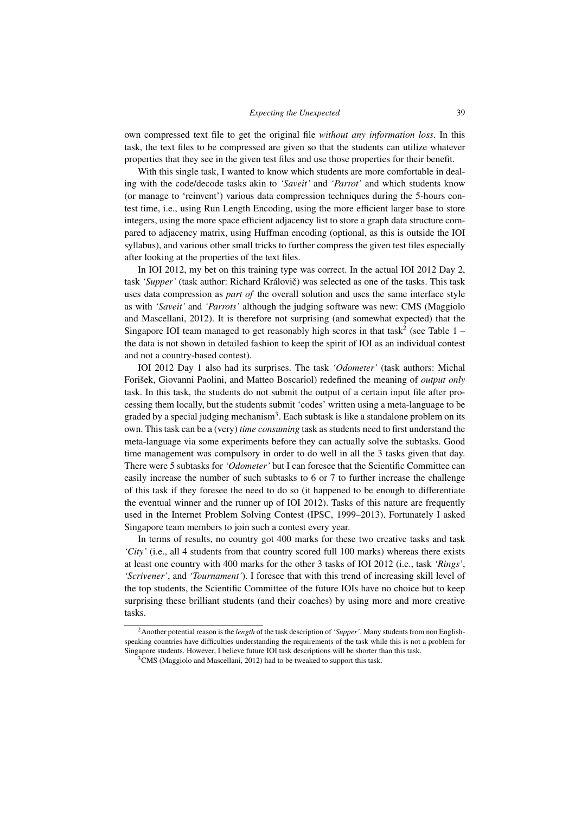## *Expecting the Unexpected* 39

own compressed text file to get the original file *without any information loss*. In this task, the text files to be compressed are given so that the students can utilize whatever properties that they see in the given test files and use those properties for their benefit.

With this single task, I wanted to know which students are more comfortable in dealing with the code/decode tasks akin to *'Saveit'* and *'Parrot'* and which students know (or manage to 'reinvent') various data compression techniques during the 5-hours contest time, i.e., using Run Length Encoding, using the more efficient larger base to store integers, using the more space efficient adjacency list to store a graph data structure compared to adjacency matrix, using Huffman encoding (optional, as this is outside the IOI syllabus), and various other small tricks to further compress the given test files especially after looking at the properties of the text files.

In IOI 2012, my bet on this training type was correct. In the actual IOI 2012 Day 2, task 'Supper' (task author: Richard Královič) was selected as one of the tasks. This task uses data compression as *part of* the overall solution and uses the same interface style as with *'Saveit'* and *'Parrots'* although the judging software was new: CMS (Maggiolo and Mascellani, 2012). It is therefore not surprising (and somewhat expected) that the Singapore IOI team managed to get reasonably high scores in that task<sup>2</sup> (see Table  $1$ the data is not shown in detailed fashion to keep the spirit of IOI as an individual contest and not a country-based contest).

IOI 2012 Day 1 also had its surprises. The task *'Odometer'* (task authors: Michal Forišek, Giovanni Paolini, and Matteo Boscariol) redefined the meaning of *output only* task. In this task, the students do not submit the output of a certain input file after processing them locally, but the students submit 'codes' written using a meta-language to be graded by a special judging mechanism<sup>3</sup>. Each subtask is like a standalone problem on its own. This task can be a (very) *time consuming* task as students need to first understand the meta-language via some experiments before they can actually solve the subtasks. Good time management was compulsory in order to do well in all the 3 tasks given that day. There were 5 subtasks for *'Odometer'* but I can foresee that the Scientific Committee can easily increase the number of such subtasks to 6 or 7 to further increase the challenge of this task if they foresee the need to do so (it happened to be enough to differentiate the eventual winner and the runner up of IOI 2012). Tasks of this nature are frequently used in the Internet Problem Solving Contest (IPSC, 1999–2013). Fortunately I asked Singapore team members to join such a contest every year.

In terms of results, no country got 400 marks for these two creative tasks and task *'City'* (i.e., all 4 students from that country scored full 100 marks) whereas there exists at least one country with 400 marks for the other 3 tasks of IOI 2012 (i.e., task *'Rings'*, *'Scrivener'*, and *'Tournament'*). I foresee that with this trend of increasing skill level of the top students, the Scientific Committee of the future IOIs have no choice but to keep surprising these brilliant students (and their coaches) by using more and more creative tasks.

<sup>2</sup>Another potential reason is the *length* of the task description of *'Supper'*. Many students from non Englishspeaking countries have difficulties understanding the requirements of the task while this is not a problem for Singapore students. However, I believe future IOI task descriptions will be shorter than this task.

 $3$ CMS (Maggiolo and Mascellani, 2012) had to be tweaked to support this task.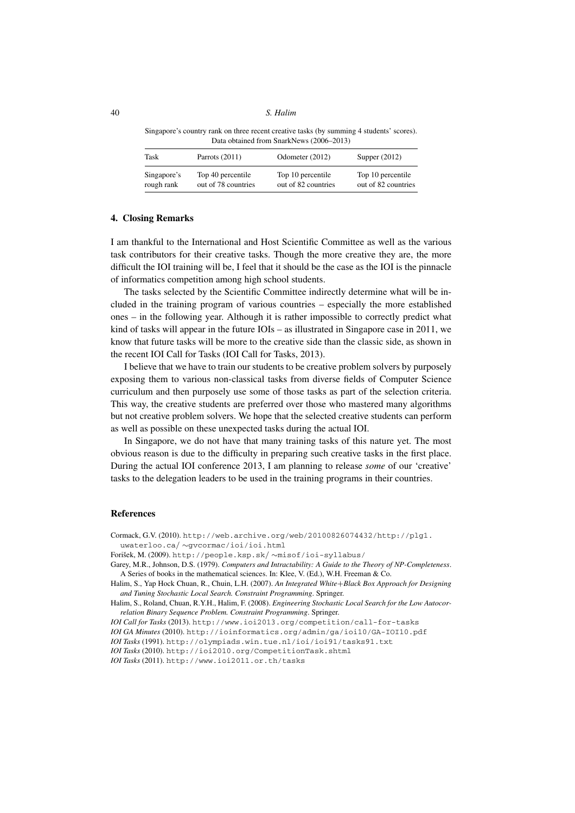40 *S. Halim*

Singapore's country rank on three recent creative tasks (by summing 4 students' scores). Data obtained from SnarkNews (2006–2013)

| Task        | Parrots $(2011)$    | Odometer (2012)     | Supper $(2012)$     |
|-------------|---------------------|---------------------|---------------------|
| Singapore's | Top 40 percentile   | Top 10 percentile   | Top 10 percentile   |
| rough rank  | out of 78 countries | out of 82 countries | out of 82 countries |

#### **4. Closing Remarks**

I am thankful to the International and Host Scientific Committee as well as the various task contributors for their creative tasks. Though the more creative they are, the more difficult the IOI training will be, I feel that it should be the case as the IOI is the pinnacle of informatics competition among high school students.

The tasks selected by the Scientific Committee indirectly determine what will be included in the training program of various countries – especially the more established ones – in the following year. Although it is rather impossible to correctly predict what kind of tasks will appear in the future IOIs – as illustrated in Singapore case in 2011, we know that future tasks will be more to the creative side than the classic side, as shown in the recent IOI Call for Tasks (IOI Call for Tasks, 2013).

I believe that we have to train our students to be creative problem solvers by purposely exposing them to various non-classical tasks from diverse fields of Computer Science curriculum and then purposely use some of those tasks as part of the selection criteria. This way, the creative students are preferred over those who mastered many algorithms but not creative problem solvers. We hope that the selected creative students can perform as well as possible on these unexpected tasks during the actual IOI.

In Singapore, we do not have that many training tasks of this nature yet. The most obvious reason is due to the difficulty in preparing such creative tasks in the first place. During the actual IOI conference 2013, I am planning to release *some* of our 'creative' tasks to the delegation leaders to be used in the training programs in their countries.

## **References**

Cormack, G.V. (2010). http://web.archive.org/web/20100826074432/http://plg1. uwaterloo.ca/ ∼gvcormac/ioi/ioi.html

Forišek, M. (2009). http://people.ksp.sk/ ∼misof/ioi-syllabus/

Garey, M.R., Johnson, D.S. (1979). *Computers and Intractability: A Guide to the Theory of NP-Completeness*. A Series of books in the mathematical sciences. In: Klee, V. (Ed.), W.H. Freeman & Co.

Halim, S., Yap Hock Chuan, R., Chuin, L.H. (2007). *An Integrated White*+*Black Box Approach for Designing and Tuning Stochastic Local Search. Constraint Programming*. Springer.

Halim, S., Roland, Chuan, R.Y.H., Halim, F. (2008). *Engineering Stochastic Local Search for the Low Autocorrelation Binary Sequence Problem. Constraint Programming*. Springer.

*IOI Call for Tasks* (2013). http://www.ioi2013.org/competition/call-for-tasks

*IOI GA Minutes* (2010). http://ioinformatics.org/admin/ga/ioi10/GA-IOI10.pdf

*IOI Tasks* (1991). http://olympiads.win.tue.nl/ioi/ioi91/tasks91.txt

*IOI Tasks* (2010). http://ioi2010.org/CompetitionTask.shtml

*IOI Tasks* (2011). http://www.ioi2011.or.th/tasks